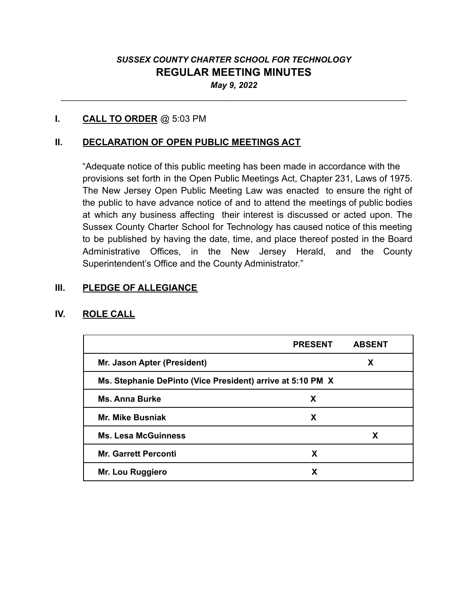# *SUSSEX COUNTY CHARTER SCHOOL FOR TECHNOLOGY* **REGULAR MEETING MINUTES** *May 9, 2022*

\_\_\_\_\_\_\_\_\_\_\_\_\_\_\_\_\_\_\_\_\_\_\_\_\_\_\_\_\_\_\_\_\_\_\_\_\_\_\_\_\_\_\_\_\_\_\_\_\_\_\_\_\_\_\_\_\_\_\_\_\_\_\_\_\_\_\_\_\_\_\_\_\_\_

### **I. CALL TO ORDER** @ 5:03 PM

### **II. DECLARATION OF OPEN PUBLIC MEETINGS ACT**

"Adequate notice of this public meeting has been made in accordance with the provisions set forth in the Open Public Meetings Act, Chapter 231, Laws of 1975. The New Jersey Open Public Meeting Law was enacted to ensure the right of the public to have advance notice of and to attend the meetings of public bodies at which any business affecting their interest is discussed or acted upon. The Sussex County Charter School for Technology has caused notice of this meeting to be published by having the date, time, and place thereof posted in the Board Administrative Offices, in the New Jersey Herald, and the County Superintendent's Office and the County Administrator."

#### **III. PLEDGE OF ALLEGIANCE**

#### **IV. ROLE CALL**

|                                                            | <b>PRESENT</b> | <b>ABSENT</b> |
|------------------------------------------------------------|----------------|---------------|
| Mr. Jason Apter (President)                                |                | X             |
| Ms. Stephanie DePinto (Vice President) arrive at 5:10 PM X |                |               |
| <b>Ms. Anna Burke</b>                                      | X              |               |
| <b>Mr. Mike Busniak</b>                                    | X              |               |
| <b>Ms. Lesa McGuinness</b>                                 |                | X             |
| <b>Mr. Garrett Perconti</b>                                | X              |               |
| Mr. Lou Ruggiero                                           | X              |               |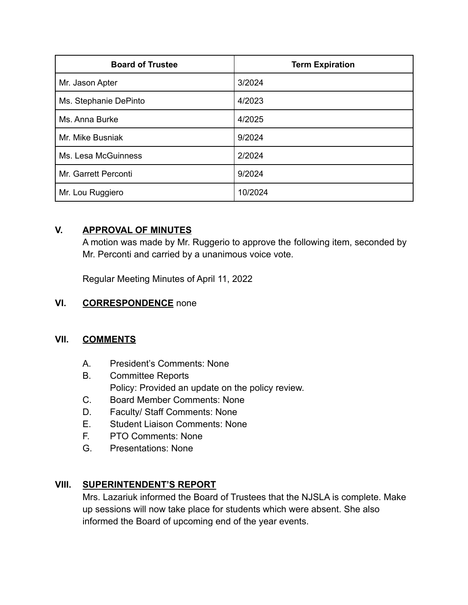| <b>Board of Trustee</b> | <b>Term Expiration</b> |
|-------------------------|------------------------|
| Mr. Jason Apter         | 3/2024                 |
| Ms. Stephanie DePinto   | 4/2023                 |
| Ms. Anna Burke          | 4/2025                 |
| Mr. Mike Busniak        | 9/2024                 |
| Ms. Lesa McGuinness     | 2/2024                 |
| Mr. Garrett Perconti    | 9/2024                 |
| Mr. Lou Ruggiero        | 10/2024                |

# **V. APPROVAL OF MINUTES**

A motion was made by Mr. Ruggerio to approve the following item, seconded by Mr. Perconti and carried by a unanimous voice vote.

Regular Meeting Minutes of April 11, 2022

# **VI. CORRESPONDENCE** none

## **VII. COMMENTS**

- A. President's Comments: None
- B. Committee Reports Policy: Provided an update on the policy review.
- C. Board Member Comments: None
- D. Faculty/ Staff Comments: None
- E. Student Liaison Comments: None
- F. PTO Comments: None
- G. Presentations: None

# **VIII. SUPERINTENDENT'S REPORT**

Mrs. Lazariuk informed the Board of Trustees that the NJSLA is complete. Make up sessions will now take place for students which were absent. She also informed the Board of upcoming end of the year events.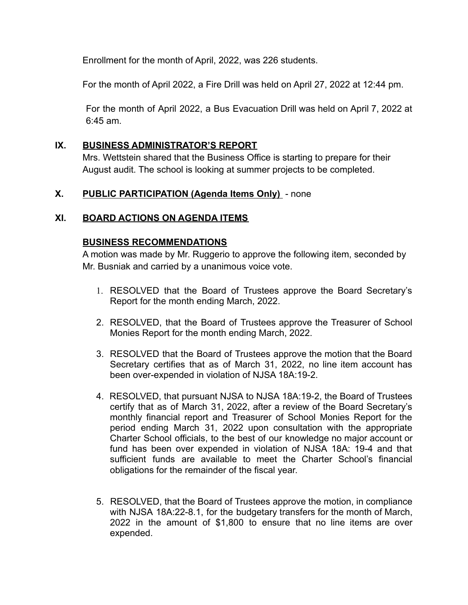Enrollment for the month of April, 2022, was 226 students.

For the month of April 2022, a Fire Drill was held on April 27, 2022 at 12:44 pm.

For the month of April 2022, a Bus Evacuation Drill was held on April 7, 2022 at 6:45 am.

### **IX. BUSINESS ADMINISTRATOR'S REPORT**

Mrs. Wettstein shared that the Business Office is starting to prepare for their August audit. The school is looking at summer projects to be completed.

### **X. PUBLIC PARTICIPATION (Agenda Items Only)** - none

### **XI. BOARD ACTIONS ON AGENDA ITEMS**

#### **BUSINESS RECOMMENDATIONS**

A motion was made by Mr. Ruggerio to approve the following item, seconded by Mr. Busniak and carried by a unanimous voice vote.

- 1. RESOLVED that the Board of Trustees approve the Board Secretary's Report for the month ending March, 2022.
- 2. RESOLVED, that the Board of Trustees approve the Treasurer of School Monies Report for the month ending March, 2022.
- 3. RESOLVED that the Board of Trustees approve the motion that the Board Secretary certifies that as of March 31, 2022, no line item account has been over-expended in violation of NJSA 18A:19-2.
- 4. RESOLVED, that pursuant NJSA to NJSA 18A:19-2, the Board of Trustees certify that as of March 31, 2022, after a review of the Board Secretary's monthly financial report and Treasurer of School Monies Report for the period ending March 31, 2022 upon consultation with the appropriate Charter School officials, to the best of our knowledge no major account or fund has been over expended in violation of NJSA 18A: 19-4 and that sufficient funds are available to meet the Charter School's financial obligations for the remainder of the fiscal year.
- 5. RESOLVED, that the Board of Trustees approve the motion, in compliance with NJSA 18A:22-8.1, for the budgetary transfers for the month of March, 2022 in the amount of \$1,800 to ensure that no line items are over expended.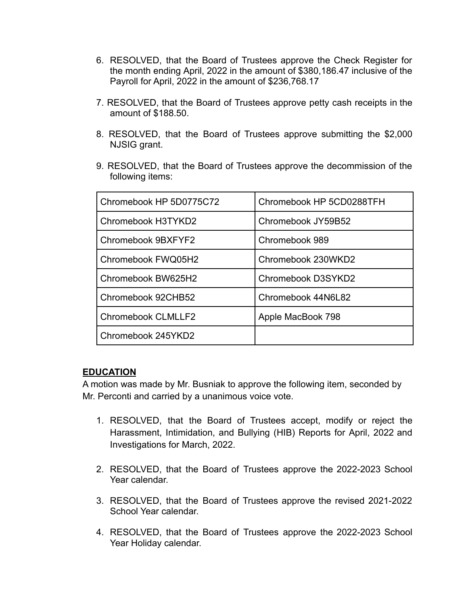- 6. RESOLVED, that the Board of Trustees approve the Check Register for the month ending April, 2022 in the amount of \$380,186.47 inclusive of the Payroll for April, 2022 in the amount of \$236,768.17
- 7. RESOLVED, that the Board of Trustees approve petty cash receipts in the amount of \$188.50.
- 8. RESOLVED, that the Board of Trustees approve submitting the \$2,000 NJSIG grant.
- 9. RESOLVED, that the Board of Trustees approve the decommission of the following items:

| Chromebook HP 5D0775C72   | Chromebook HP 5CD0288TFH |
|---------------------------|--------------------------|
| Chromebook H3TYKD2        | Chromebook JY59B52       |
| Chromebook 9BXFYF2        | Chromebook 989           |
| Chromebook FWQ05H2        | Chromebook 230WKD2       |
| Chromebook BW625H2        | Chromebook D3SYKD2       |
| Chromebook 92CHB52        | Chromebook 44N6L82       |
| <b>Chromebook CLMLLF2</b> | Apple MacBook 798        |
| Chromebook 245YKD2        |                          |

#### **EDUCATION**

A motion was made by Mr. Busniak to approve the following item, seconded by Mr. Perconti and carried by a unanimous voice vote.

- 1. RESOLVED, that the Board of Trustees accept, modify or reject the Harassment, Intimidation, and Bullying (HIB) Reports for April, 2022 and Investigations for March, 2022.
- 2. RESOLVED, that the Board of Trustees approve the 2022-2023 School Year calendar.
- 3. RESOLVED, that the Board of Trustees approve the revised 2021-2022 School Year calendar.
- 4. RESOLVED, that the Board of Trustees approve the 2022-2023 School Year Holiday calendar.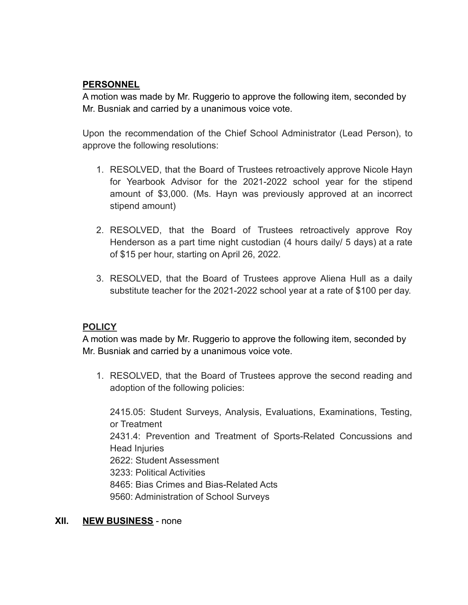## **PERSONNEL**

A motion was made by Mr. Ruggerio to approve the following item, seconded by Mr. Busniak and carried by a unanimous voice vote.

Upon the recommendation of the Chief School Administrator (Lead Person), to approve the following resolutions:

- 1. RESOLVED, that the Board of Trustees retroactively approve Nicole Hayn for Yearbook Advisor for the 2021-2022 school year for the stipend amount of \$3,000. (Ms. Hayn was previously approved at an incorrect stipend amount)
- 2. RESOLVED, that the Board of Trustees retroactively approve Roy Henderson as a part time night custodian (4 hours daily/ 5 days) at a rate of \$15 per hour, starting on April 26, 2022.
- 3. RESOLVED, that the Board of Trustees approve Aliena Hull as a daily substitute teacher for the 2021-2022 school year at a rate of \$100 per day.

## **POLICY**

A motion was made by Mr. Ruggerio to approve the following item, seconded by Mr. Busniak and carried by a unanimous voice vote.

1. RESOLVED, that the Board of Trustees approve the second reading and adoption of the following policies:

2415.05: Student Surveys, Analysis, Evaluations, Examinations, Testing, or Treatment 2431.4: Prevention and Treatment of Sports-Related Concussions and Head Injuries 2622: Student Assessment 3233: Political Activities 8465: Bias Crimes and Bias-Related Acts 9560: Administration of School Surveys

## **XII. NEW BUSINESS** - none